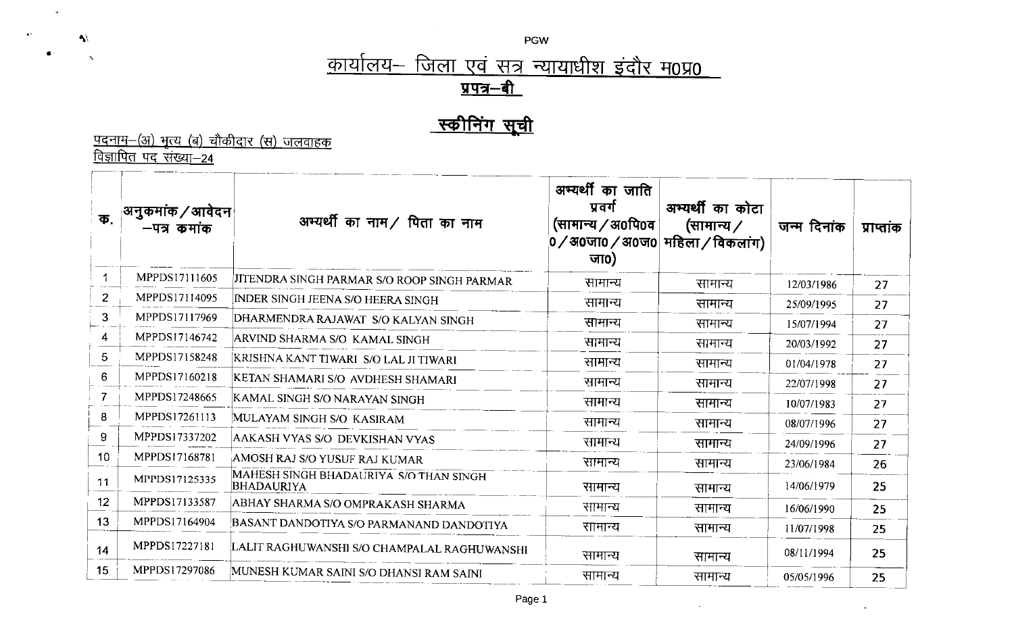PGW

## <u>कार्यालय– जिला एवं सत्र न्यायाधीश इंदौर म0प्र0 </u> <u>प्रपत्र–बी</u>

## <u>स्कीनिंग सूची</u>

<u>पदनाम–(अ) भृत्य (ब) चौकीदार (स) जलवाहक</u><br><u>विज्ञापित पद संख्या–24</u>

 $\tilde{\mathcal{A}}$ 

 $\rightarrow$ 

 $\begin{array}{ccccc} \Phi^1 & \cdots & \chi^1 \end{array}$ 

| क              | अनुकमांक / आवेदन <br>—पत्र कमाक | अभ्यर्थी का नाम / पिता का नाम                        | अभ्यर्थी का जाति<br>प्रवर्ग<br>(सामान्य / अ0पि0व  <br>0 / अ0जा0 / अ0ज0  महिला / विकलांग)<br>जा $\mathbf{0}$ ) | अभ्यर्थी का कोटा<br>(सामान्य ∕ | जन्म दिनांक | प्राप्ताक |
|----------------|---------------------------------|------------------------------------------------------|---------------------------------------------------------------------------------------------------------------|--------------------------------|-------------|-----------|
|                | MPPDS17111605                   | JITENDRA SINGH PARMAR S/O ROOP SINGH PARMAR          | सामान्य                                                                                                       | सामान्य                        | 12/03/1986  | 27        |
| $\overline{2}$ | MPPDS17114095                   | <b>INDER SINGH JEENA S/O HEERA SINGH</b>             | सामान्य                                                                                                       | सामान्य                        | 25/09/1995  | 27        |
| 3              | MPPDS17117969                   | DHARMENDRA RAJAWAT S/O KALYAN SINGH                  | सामान्य                                                                                                       | सामान्य                        | 15/07/1994  | 27        |
| 4              | MPPDS17146742                   | ARVIND SHARMA S/O KAMAL SINGH                        | सामान्य                                                                                                       | सामान्य                        | 20/03/1992  | 27        |
| 5              | MPPDS17158248                   | KRISHNA KANT TIWARI  S/O LAL JI TIWARI               | सामान्य                                                                                                       | सामान्य                        | 01/04/1978  | 27        |
| 6              | MPPDS17160218                   | KETAN SHAMARI S/O AVDHESH SHAMARI                    | सामान्य                                                                                                       | सामान्य                        | 22/07/1998  | 27        |
|                | MPPDS17248665                   | KAMAL SINGH S/O NARAYAN SINGH                        | सामान्य                                                                                                       | सामान्य                        | 10/07/1983  | 27        |
| 8              | MPPDS17261113                   | MULAYAM SINGH S/O KASIRAM                            | सामान्य                                                                                                       | सामान्य                        | 08/07/1996  | 27        |
| 9              | MPPDS17337202                   | AAKASH VYAS S/O DEVKISHAN VYAS                       | सामान्य                                                                                                       | सामान्य                        | 24/09/1996  | 27        |
| 10             | MPPDS17168781                   | AMOSH RAJ S/O YUSUF RAJ KUMAR                        | सामान्य                                                                                                       | सामान्य                        | 23/06/1984  | 26        |
| 11             | MPPDS17125335                   | MAHESH SINGH BHADAURIYA S/O THAN SINGH<br>BHADAURIYA | सामान्य                                                                                                       | सामान्य                        | 14/06/1979  | 25        |
| 12             | MPPDS17133587                   | ABHAY SHARMA S/O OMPRAKASH SHARMA                    | सामान्य                                                                                                       | सामान्य                        | 16/06/1990  | 25        |
| 13             | MPPDS17164904                   | BASANT DANDOTIYA S/O PARMANAND DANDOTIYA             | सामान्य                                                                                                       | सामान्य                        | 11/07/1998  | 25        |
| 14             | MPPDS17227181                   | LALIT RAGHUWANSHI S/O CHAMPALAL RAGHUWANSHI          | सामान्य                                                                                                       | सामान्य                        | 08/11/1994  | 25        |
| 15             | MPPDS17297086                   | MUNESH KUMAR SAINI S/O DHANSI RAM SAINI              | सामान्य                                                                                                       | सामान्य                        | 05/05/1996  | 25        |

 $\sim$ 

 $\Delta$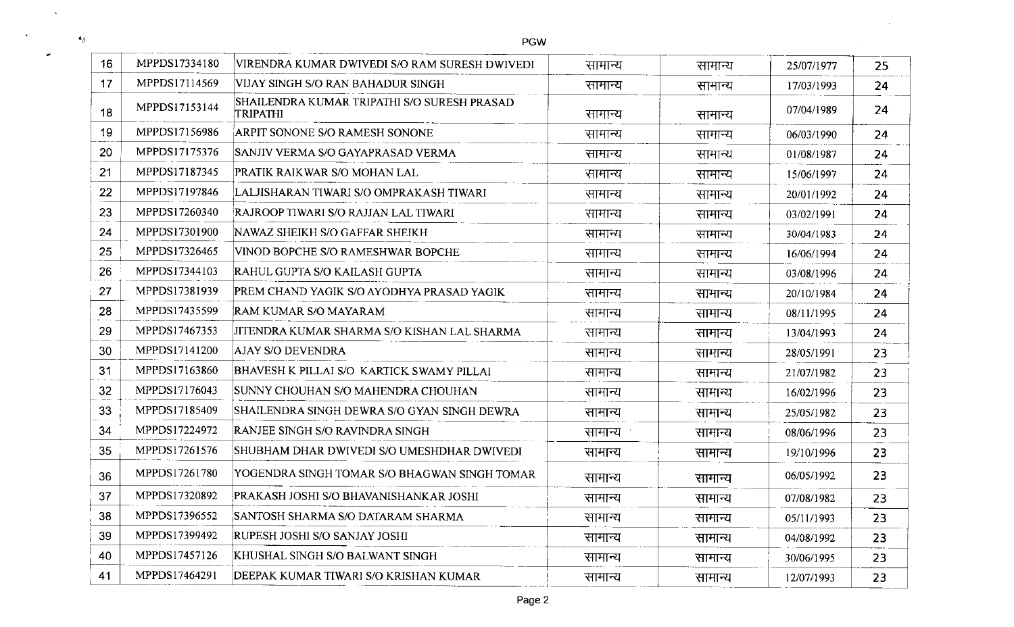$\langle \bullet \rangle$ 

 $\sim$ 

 $\omega^{\prime}$ 

 $\sim 80$ 

 $\sim 100$ 

|    |               | POW                                                     |         |         |            |    |
|----|---------------|---------------------------------------------------------|---------|---------|------------|----|
| 16 | MPPDS17334180 | VIRENDRA KUMAR DWIVEDI S/O RAM SURESH DWIVEDI           | सामान्य | सामान्य | 25/07/1977 | 25 |
| 17 | MPPDS17114569 | VIJAY SINGH S/O RAN BAHADUR SINGH                       | सामान्य | सामान्य | 17/03/1993 | 24 |
| 18 | MPPDS17153144 | SHAILENDRA KUMAR TRIPATHI S/O SURESH PRASAD<br>TRIPATHI | सामान्य | सामान्य | 07/04/1989 | 24 |
| 19 | MPPDS17156986 | ARPIT SONONE S/O RAMESH SONONE                          | सामान्य | सामान्य | 06/03/1990 | 24 |
| 20 | MPPDS17175376 | SANJIV VERMA S/O GAYAPRASAD VERMA                       | सामान्य | सामान्य | 01/08/1987 | 24 |
| 21 | MPPDS17187345 | PRATIK RAIKWAR S/O MOHAN LAL                            | सामान्य | सामान्य | 15/06/1997 | 24 |
| 22 | MPPDS17197846 | LALJISHARAN TIWARI S/O OMPRAKASH TIWARI                 | सामान्य | सामान्य | 20/01/1992 | 24 |
| 23 | MPPDS17260340 | RAJROOP TIWARI S/O RAJJAN LAL TIWARI                    | सामान्य | सामान्य | 03/02/1991 | 24 |
| 24 | MPPDS17301900 | NAWAZ SHEIKH S/O GAFFAR SHEIKH                          | सामान्य | सामान्य | 30/04/1983 | 24 |
| 25 | MPPDS17326465 | VINOD BOPCHE S/O RAMESHWAR BOPCHE                       | सामान्य | सामान्य | 16/06/1994 | 24 |
| 26 | MPPDS17344103 | RAHUL GUPTA S/O KAILASH GUPTA                           | सामान्य | सामान्य | 03/08/1996 | 24 |
| 27 | MPPDS17381939 | PREM CHAND YAGIK S/O AYODHYA PRASAD YAGIK               | सामान्य | सामान्य | 20/10/1984 | 24 |
| 28 | MPPDS17435599 | RAM KUMAR S/O MAYARAM                                   | सामान्य | सामान्य | 08/11/1995 | 24 |
| 29 | MPPDS17467353 | JITENDRA KUMAR SHARMA S/O KISHAN LAL SHARMA             | सामान्य | सामान्य | 13/04/1993 | 24 |
| 30 | MPPDS17141200 | AJAY S/O DEVENDRA                                       | सामान्य | सामान्य | 28/05/1991 | 23 |
| 31 | MPPDS17163860 | BHAVESH K PILLAI S/O KARTICK SWAMY PILLAI               | सामान्य | सामान्य | 21/07/1982 | 23 |
| 32 | MPPDS17176043 | SUNNY CHOUHAN S/O MAHENDRA CHOUHAN                      | सामान्य | सामान्य | 16/02/1996 | 23 |
| 33 | MPPDS17185409 | SHAILENDRA SINGH DEWRA S/O GYAN SINGH DEWRA             | सामान्य | सामान्य | 25/05/1982 | 23 |
| 34 | MPPDS17224972 | RANJEE SINGH S/O RAVINDRA SINGH                         | सामान्य | सामान्य | 08/06/1996 | 23 |
| 35 | MPPDS17261576 | SHUBHAM DHAR DWIVEDI S/O UMESHDHAR DWIVEDI              | सामान्य | सामान्य | 19/10/1996 | 23 |
| 36 | MPPDS17261780 | YOGENDRA SINGH TOMAR S/O BHAGWAN SINGH TOMAR            | सामान्य | सामान्य | 06/05/1992 | 23 |
| 37 | MPPDS17320892 | PRAKASH JOSHI S/O BHAVANISHANKAR JOSHI                  | सामान्य | सामान्य | 07/08/1982 | 23 |
| 38 | MPPDS17396552 | SANTOSH SHARMA S/O DATARAM SHARMA                       | सामान्य | सामान्य | 05/11/1993 | 23 |
| 39 | MPPDS17399492 | RUPESH JOSHI S/O SANJAY JOSHI                           | सामान्य | सामान्य | 04/08/1992 | 23 |
| 40 | MPPDS17457126 | KHUSHAL SINGH S/O BALWANT SINGH                         | सामान्य | सामान्य | 30/06/1995 | 23 |
| 41 | MPPDS17464291 | DEEPAK KUMAR TIWARI S/O KRISHAN KUMAR                   | सामान्य | सामान्य | 12/07/1993 | 23 |
|    |               |                                                         |         |         |            |    |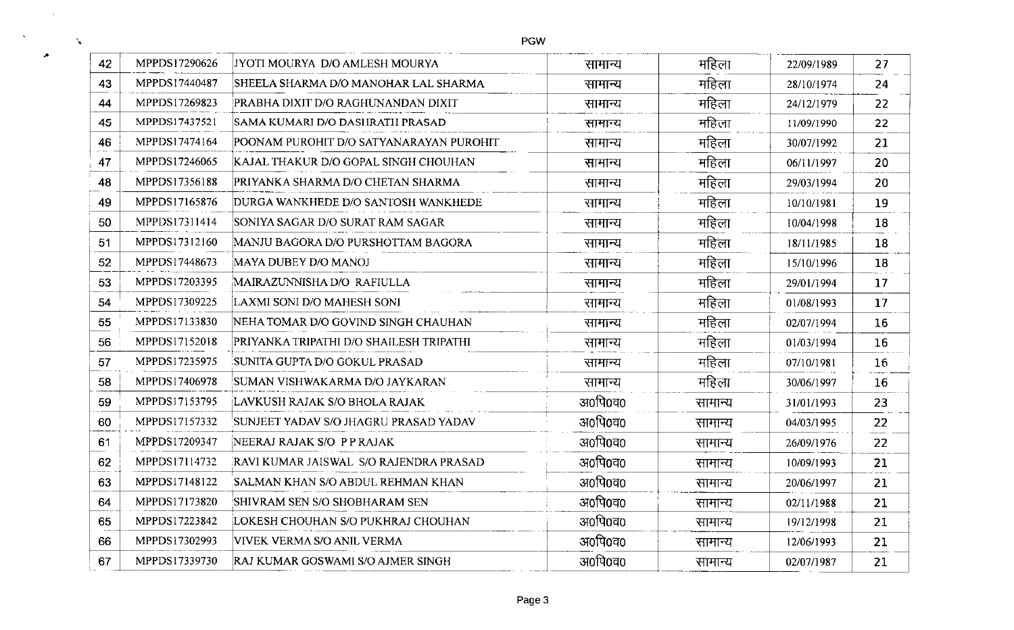| 42 | MPPDS17290626 | JYOTI MOURYA D/O AMLESH MOURYA          | सामान्य | महिला   | 22/09/1989 | 27 |
|----|---------------|-----------------------------------------|---------|---------|------------|----|
| 43 | MPPDS17440487 | SHEELA SHARMA D/O MANOHAR LAL SHARMA    | सामान्य | महिला   | 28/10/1974 | 24 |
| 44 | MPPDS17269823 | PRABHA DIXIT D/O RAGHUNANDAN DIXIT      | सामान्य | महिला   | 24/12/1979 | 22 |
| 45 | MPPDS17437521 | SAMA KUMARI D/O DASHRATH PRASAD         | सामान्य | महिला   | 11/09/1990 | 22 |
| 46 | MPPDS17474164 | POONAM PUROHIT D/O SATYANARAYAN PUROHIT | सामान्य | महिला   | 30/07/1992 | 21 |
| 47 | MPPDS17246065 | KAJAL THAKUR D/O GOPAL SINGH CHOUHAN    | सामान्य | महिला   | 06/11/1997 | 20 |
| 48 | MPPDS17356188 | PRIYANKA SHARMA D/O CHETAN SHARMA       | सामान्य | महिला   | 29/03/1994 | 20 |
| 49 | MPPDS17165876 | DURGA WANKHEDE D/O SANTOSH WANKHEDE     | सामान्य | महिला   | 10/10/1981 | 19 |
| 50 | MPPDS17311414 | SONIYA SAGAR D/O SURAT RAM SAGAR        | सामान्य | महिला   | 10/04/1998 | 18 |
| 51 | MPPDS17312160 | MANJU BAGORA D/O PURSHOTTAM BAGORA      | सामान्य | महिला   | 18/11/1985 | 18 |
| 52 | MPPDS17448673 | MAYA DUBEY D/O MANOJ                    | सामान्य | महिला   | 15/10/1996 | 18 |
| 53 | MPPDS17203395 | MAIRAZUNNISHA D/O RAFIULLA              | सामान्य | महिला   | 29/01/1994 | 17 |
| 54 | MPPDS17309225 | LAXMI SONI D/O MAHESH SONI              | सामान्य | महिला   | 01/08/1993 | 17 |
| 55 | MPPDS17133830 | NEHA TOMAR D/O GOVIND SINGH CHAUHAN     | सामान्य | महिला   | 02/07/1994 | 16 |
| 56 | MPPDS17152018 | PRIYANKA TRIPATHI D/O SHAILESH TRIPATHI | सामान्य | महिला   | 01/03/1994 | 16 |
| 57 | MPPDS17235975 | SUNITA GUPTA D/O GOKUL PRASAD           | सामान्य | महिला   | 07/10/1981 | 16 |
| 58 | MPPDS17406978 | SUMAN VISHWAKARMA D/O JAYKARAN          | सामान्य | महिला   | 30/06/1997 | 16 |
| 59 | MPPDS17153795 | LAVKUSH RAJAK S/O BHOLA RAJAK           | अ0पि0व0 | सामान्य | 31/01/1993 | 23 |
| 60 | MPPDS17157332 | SUNJEET YADAV S/O JHAGRU PRASAD YADAV   | अ०पि०च० | सामान्य | 04/03/1995 | 22 |
| 61 | MPPDS17209347 | NEERAJ RAJAK S/O PPRAJAK                | अ०पि०च० | सामान्य | 26/09/1976 | 22 |
| 62 | MPPDS17114732 | RAVI KUMAR JAISWAL S/O RAJENDRA PRASAD  | अ०पि०व० | सामान्य | 10/09/1993 | 21 |
| 63 | MPPDS17148122 | SALMAN KHAN S/O ABDUL REHMAN KHAN       | अ०पि०व० | सामान्य | 20/06/1997 | 21 |
| 64 | MPPDS17173820 | SHIVRAM SEN S/O SHOBHARAM SEN           | अ०पि०च० | सामान्य | 02/11/1988 | 21 |
| 65 | MPPDS17223842 | LOKESH CHOUHAN S/O PUKHRAJ CHOUHAN      | अ0पि0व0 | सामान्य | 19/12/1998 | 21 |
| 66 | MPPDS17302993 | VIVEK VERMA S/O ANIL VERMA              | अ०पि०व० | सामान्य | 12/06/1993 | 21 |
| 67 | MPPDS17339730 | RAJ KUMAR GOSWAMI S/O AJMER SINGH       | अ0पि0व0 | सामान्य | 02/07/1987 | 21 |
|    |               |                                         |         |         |            |    |

PGW

 $\sim$ 

J.

 $\mathcal{R}_{\mathbf{X}}$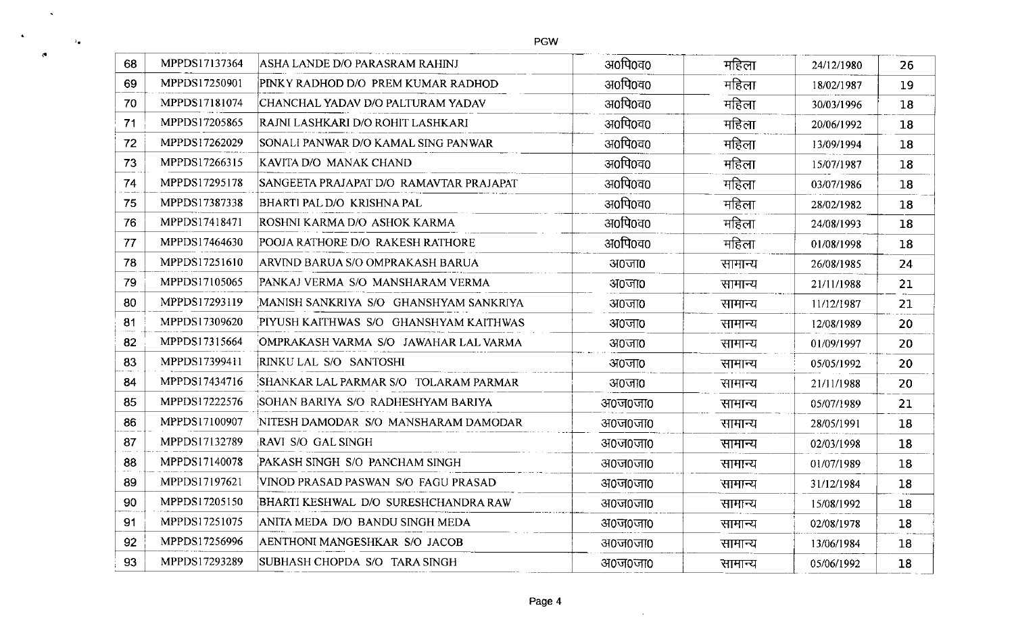$\sim$ 

 $\mathcal{C}$ 

 $\lambda_{\bullet}$ 

 $\langle \bullet \rangle$ 

| 68 | MPPDS17137364 | ASHA LANDE D/O PARASRAM RAHINJ          | अ०पि०व०   | महिला   | 24/12/1980 | 26 |
|----|---------------|-----------------------------------------|-----------|---------|------------|----|
| 69 | MPPDS17250901 | PINKY RADHOD D/O PREM KUMAR RADHOD      | अ०पि०व०   | महिला   | 18/02/1987 | 19 |
| 70 | MPPDS17181074 | CHANCHAL YADAV D/O PALTURAM YADAV       | अ०पि०व०   | महिला   | 30/03/1996 | 18 |
| 71 | MPPDS17205865 | RAJNI LASHKARI D/O ROHIT LASHKARI       | अ०पि०व०   | महिला   | 20/06/1992 | 18 |
| 72 | MPPDS17262029 | SONALI PANWAR D/O KAMAL SING PANWAR     | अ०पि०व०   | महिला   | 13/09/1994 | 18 |
| 73 | MPPDS17266315 | KAVITA D/O MANAK CHAND                  | अ0पि0व0   | महिला   | 15/07/1987 | 18 |
| 74 | MPPDS17295178 | SANGEETA PRAJAPAT D/O RAMAVTAR PRAJAPAT | अ0पि0व0   | महिला   | 03/07/1986 | 18 |
| 75 | MPPDS17387338 | BHARTI PAL D/O KRISHNA PAL              | अ0पि0व0   | महिला   | 28/02/1982 | 18 |
| 76 | MPPDS17418471 | ROSHNI KARMA D/O ASHOK KARMA            | अ0पि0व0   | महिला   | 24/08/1993 | 18 |
| 77 | MPPDS17464630 | POOJA RATHORE D/O RAKESH RATHORE        | अ0पि0व0   | महिला   | 01/08/1998 | 18 |
| 78 | MPPDS17251610 | ARVIND BARUA S/O OMPRAKASH BARUA        | अ०जा०     | सामान्य | 26/08/1985 | 24 |
| 79 | MPPDS17105065 | PANKAJ VERMA S/O MANSHARAM VERMA        | अ०जा०     | सामान्य | 21/11/1988 | 21 |
| 80 | MPPDS17293119 | MANISH SANKRIYA S/O GHANSHYAM SANKRIYA  | अ०जा०     | सामान्य | 11/12/1987 | 21 |
| 81 | MPPDS17309620 | PIYUSH KAITHWAS S/O GHANSHYAM KAITHWAS  | अ०जा०     | सामान्य | 12/08/1989 | 20 |
| 82 | MPPDS17315664 | OMPRAKASH VARMA S/O JAWAHAR LAL VARMA   | $300$ ना0 | सामान्य | 01/09/1997 | 20 |
| 83 | MPPDS17399411 | RINKU LAL S/O SANTOSHI                  | अ०जा०     | सामान्य | 05/05/1992 | 20 |
| 84 | MPPDS17434716 | SHANKAR LAL PARMAR S/O TOLARAM PARMAR   | अ०जा०     | सामान्य | 21/11/1988 | 20 |
| 85 | MPPDS17222576 | SOHAN BARIYA S/O RADHESHYAM BARIYA      | अ०ज०जा०   | सामान्य | 05/07/1989 | 21 |
| 86 | MPPDS17100907 | NITESH DAMODAR S/O MANSHARAM DAMODAR    | अ०ज०जा०   | सामान्य | 28/05/1991 | 18 |
| 87 | MPPDS17132789 | <b>RAVI S/O GAL SINGH</b>               | अ०ज०जा०   | सामान्य | 02/03/1998 | 18 |
| 88 | MPPDS17140078 | PAKASH SINGH S/O PANCHAM SINGH          | अ०ज०जा०   | सामान्य | 01/07/1989 | 18 |
| 89 | MPPDS17197621 | VINOD PRASAD PASWAN S/O FAGU PRASAD     | अ०ज०जा०   | सामान्य | 31/12/1984 | 18 |
| 90 | MPPDS17205150 | BHARTI KESHWAL D/O SURESHCHANDRA RAW    | अ०ज०जा०   | सामान्य | 15/08/1992 | 18 |
| 91 | MPPDS17251075 | ANITA MEDA D/O BANDU SINGH MEDA         | अ०ज०जा०   | सामान्य | 02/08/1978 | 18 |
| 92 | MPPDS17256996 | AENTHONI MANGESHKAR S/O JACOB           | अ०ज०जा०   | सामान्य | 13/06/1984 | 18 |
| 93 | MPPDS17293289 | SUBHASH CHOPDA S/O TARA SINGH           | अ०ज०जा०   | सामान्य | 05/06/1992 | 18 |

 $\sim 1000$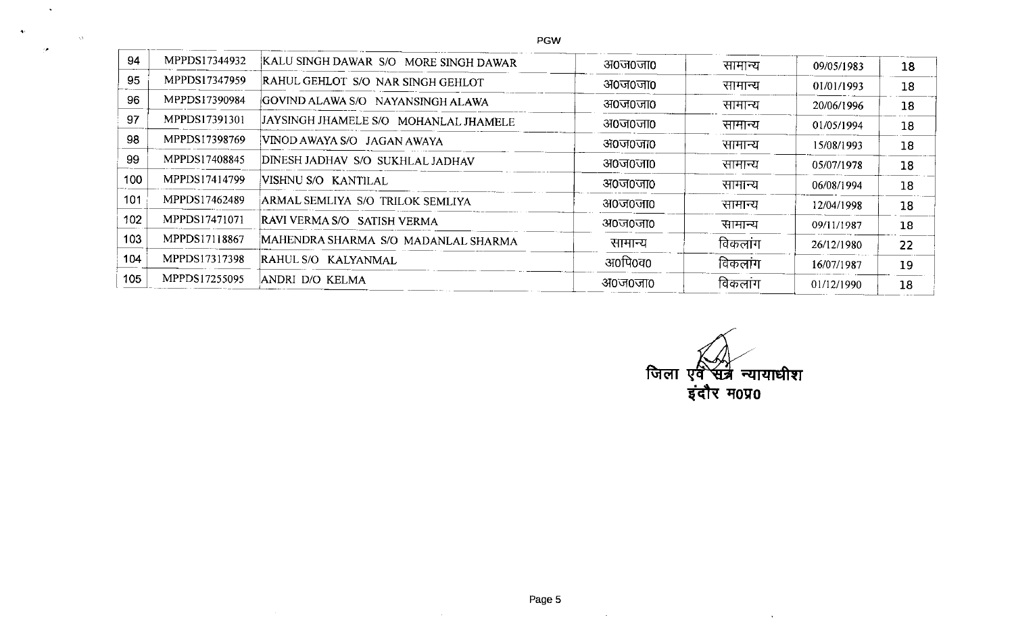| 94  | MPPDS17344932 | KALU SINGH DAWAR S/O MORE SINGH DAWAR | अ०ज०जा० | सामान्य | 09/05/1983 | 18 |
|-----|---------------|---------------------------------------|---------|---------|------------|----|
| 95  | MPPDS17347959 | RAHUL GEHLOT S/O NAR SINGH GEHLOT     | अ०ज०जा० | सामान्य | 01/01/1993 | 18 |
| 96  | MPPDS17390984 | GOVIND ALAWA S/O NAYANSINGH ALAWA     | अ०ज०जा० | सामान्य | 20/06/1996 | 18 |
| 97  | MPPDS17391301 | JAYSINGH JHAMELE S/O MOHANLAL JHAMELE | अ०ज०जा० | सामान्य | 01/05/1994 | 18 |
| 98  | MPPDS17398769 | VINOD AWAYA S/O JAGAN AWAYA           | अ०ज०जा० | सामान्य | 15/08/1993 | 18 |
| 99  | MPPDS17408845 | DINESH JADHAV S/O SUKHLAL JADHAV      | अ०ज०जा० | सामान्य | 05/07/1978 | 18 |
| 100 | MPPDS17414799 | VISHNU S/O KANTILAL                   | अ०ज०जा० | सामान्य | 06/08/1994 | 18 |
| 101 | MPPDS17462489 | ARMAL SEMLIYA S/O TRILOK SEMLIYA      | अ०ज०जा० | सामान्य | 12/04/1998 | 18 |
| 102 | MPPDS17471071 | RAVI VERMA S/O SATISH VERMA           | अ०ज०जा० | सामान्य | 09/11/1987 | 18 |
| 103 | MPPDS17118867 | MAHENDRA SHARMA S/O MADANLAL SHARMA   | सामान्य | विकलांग | 26/12/1980 | 22 |
| 104 | MPPDS17317398 | RAHUL S/O KALYANMAL                   | अ0पि0व0 | विकलांग | 16/07/1987 | 19 |
| 105 | MPPDS17255095 | ANDRI D/O KELMA                       | अ०ज०जा० | विकलाग  | 01/12/1990 | 18 |
|     |               |                                       |         |         |            |    |

 $\blacktriangleleft$ 

 $\Delta\Lambda$ 

जिला एवं सत्र न्यायाधीश<br>इंदौर म0प्र0

 $\mathbf{v}$ 

Page 5

 $\sim$ 

 $\sim$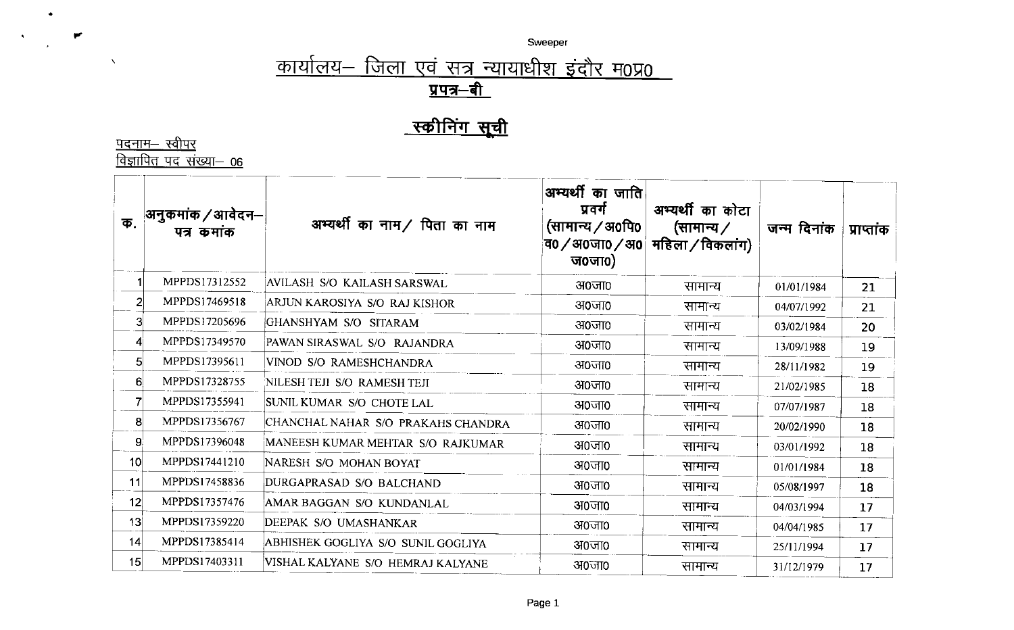Sweeper

## <u> कार्यालय– जिला एवं सत्र न्यायाधीश इंदौर म0प्र0</u> <u>प्रपत्र–बी</u>

## स्कीनिंग सूची

<u>पदनाम– स्वीपर</u><br><u>विज्ञापित पद संख्या– 06</u>

 $\bullet$ 

 $\langle \bullet \rangle$ 

 $\blacktriangleright$ 

 $\Delta$ 

| क.              | अनुकमांक / आवेदन–<br>पत्र कमांक | अभ्यर्थी का नाम/ पिता का नाम       | अभ्यर्थी का जाति $\mid$<br>प्रवर्ग<br>(सामान्य / अ0पि0<br>व0 $\diagup$ अ0जा0 $\diagup$ अ0 $\parallel$<br>ज0जा $\alpha$ ) | अभ्यर्थी का कोटा<br>(सामान्य $\angle$<br>महिला / विकलांग) | जन्म दिनांक | प्राप्तांक |
|-----------------|---------------------------------|------------------------------------|--------------------------------------------------------------------------------------------------------------------------|-----------------------------------------------------------|-------------|------------|
|                 | MPPDS17312552                   | AVILASH S/O KAILASH SARSWAL        | अ०जा०                                                                                                                    | सामान्य                                                   | 01/01/1984  | 21         |
| 2               | MPPDS17469518                   | ARJUN KAROSIYA S/O RAJ KISHOR      | $310$ $\overline{0}$ $\overline{10}$                                                                                     | सामान्य                                                   | 04/07/1992  | 21         |
| 3               | MPPDS17205696                   | GHANSHYAM S/O SITARAM              | अ०जा०                                                                                                                    | सामान्य                                                   | 03/02/1984  | 20         |
| $\mathbf{A}$    | MPPDS17349570                   | PAWAN SIRASWAL S/O RAJANDRA        | अ०जा०                                                                                                                    | सामान्य                                                   | 13/09/1988  | 19         |
| 5               | MPPDS17395611                   | VINOD S/O RAMESHCHANDRA            | अ०जा०                                                                                                                    | सामान्य                                                   | 28/11/1982  | 19         |
| 6 <sup>1</sup>  | MPPDS17328755                   | NILESH TEJI S/O RAMESH TEJI        | अ०जा०                                                                                                                    | सामान्य                                                   | 21/02/1985  | 18         |
| 71              | MPPDS17355941                   | SUNIL KUMAR S/O CHOTE LAL          | अ०जा०                                                                                                                    | सामान्य                                                   | 07/07/1987  | 18         |
| 8               | MPPDS17356767                   | CHANCHAL NAHAR S/O PRAKAHS CHANDRA | अ०जा०                                                                                                                    | सामान्य                                                   | 20/02/1990  | 18         |
| 9.              | MPPDS17396048                   | MANEESH KUMAR MEHTAR S/O RAJKUMAR  | अ०जा०                                                                                                                    | सामान्य                                                   | 03/01/1992  | 18         |
| 10 <sup>1</sup> | MPPDS17441210                   | NARESH S/O MOHAN BOYAT             | अ०जा०                                                                                                                    | सामान्य                                                   | 01/01/1984  | 18         |
| 11              | MPPDS17458836                   | DURGAPRASAD S/O BALCHAND           | अ०जा०                                                                                                                    | सामान्य                                                   | 05/08/1997  | 18         |
| 12              | MPPDS17357476                   | AMAR BAGGAN S/O KUNDANLAL          | $310$ $\overline{0}10$                                                                                                   | सामान्य                                                   | 04/03/1994  | 17         |
| 13 <sup>1</sup> | MPPDS17359220                   | DEEPAK S/O UMASHANKAR              | अ०जा०                                                                                                                    | सामान्य                                                   | 04/04/1985  | 17         |
| 14              | MPPDS17385414                   | ABHISHEK GOGLIYA S/O SUNIL GOGLIYA | अ०जा०                                                                                                                    | सामान्य                                                   | 25/11/1994  | 17         |
| 15              | MPPDS17403311                   | VISHAL KALYANE S/O HEMRAJ KALYANE  | अ०जा०                                                                                                                    | सामान्य                                                   | 31/12/1979  | 17         |